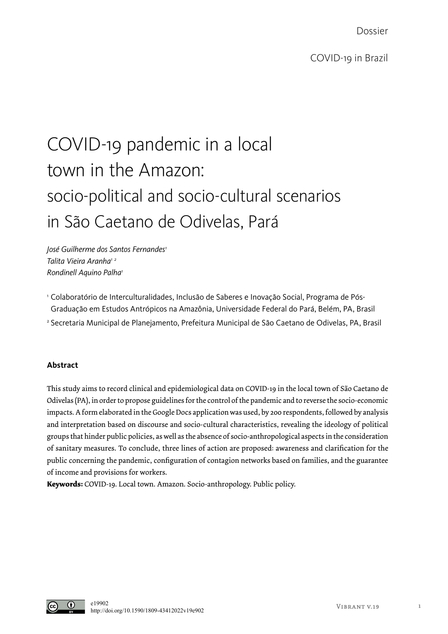Dossier

# COVID-19 pandemic in a local town in the Amazon: socio-political and socio-cultural scenarios

## in São Caetano de Odivelas, Pará

*José Guilherme dos Santos Fernandes1 Talita Vieira Aranha1 <sup>2</sup> Rondinell Aquino Palha1*

<sup>1</sup> Colaboratório de Interculturalidades, Inclusão de Saberes e Inovação Social, Programa de Pós-Graduação em Estudos Antrópicos na Amazônia, Universidade Federal do Pará, Belém, PA, Brasil <sup>2</sup> Secretaria Municipal de Planejamento, Prefeitura Municipal de São Caetano de Odivelas, PA, Brasil

### **Abstract**

This study aims to record clinical and epidemiological data on COVID-19 in the local town of São Caetano de Odivelas (PA), in order to propose guidelines for the control of the pandemic and to reverse the socio-economic impacts. A form elaborated in the Google Docs application was used, by 200 respondents, followed by analysis and interpretation based on discourse and socio-cultural characteristics, revealing the ideology of political groups that hinder public policies, as well as the absence of socio-anthropological aspects in the consideration of sanitary measures. To conclude, three lines of action are proposed: awareness and clarification for the public concerning the pandemic, configuration of contagion networks based on families, and the guarantee of income and provisions for workers.

**Keywords:** COVID-19. Local town. Amazon. Socio-anthropology. Public policy.

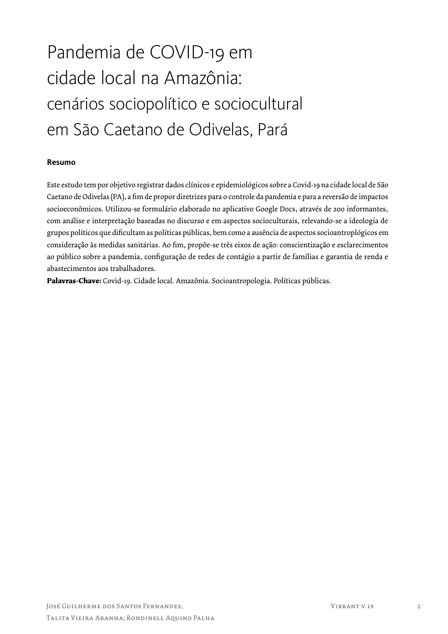# Pandemia de COVID-19 em cidade local na Amazônia: cenários sociopolítico e sociocultural em São Caetano de Odivelas, Pará

### **Resumo**

Este estudo tem por objetivo registrar dados clínicos e epidemiológicos sobre a Covid-19 na cidade local de São Caetano de Odivelas (PA), a fim de propor diretrizes para o controle da pandemia e para a reversão de impactos socioeconômicos. Utilizou-se formulário elaborado no aplicativo Google Docs, através de 200 informantes, com análise e interpretação baseadas no discurso e em aspectos socioculturais, relevando-se a ideologia de grupos políticos que dificultam as políticas públicas, bem como a ausência de aspectos socioantroplógicos em consideração às medidas sanitárias. Ao fim, propõe-se três eixos de ação: conscientização e esclarecimentos ao público sobre a pandemia, configuração de redes de contágio a partir de famílias e garantia de renda e abastecimentos aos trabalhadores.

**Palavras-Chave:** Covid-19. Cidade local. Amazônia. Socioantropologia. Políticas públicas.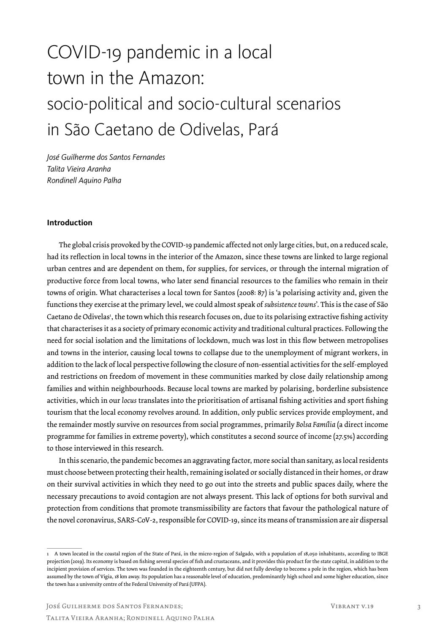# COVID-19 pandemic in a local town in the Amazon: socio-political and socio-cultural scenarios in São Caetano de Odivelas, Pará

*José Guilherme dos Santos Fernandes Talita Vieira Aranha Rondinell Aquino Palha*

#### **Introduction**

The global crisis provoked by the COVID-19 pandemic affected not only large cities, but, on a reduced scale, had its reflection in local towns in the interior of the Amazon, since these towns are linked to large regional urban centres and are dependent on them, for supplies, for services, or through the internal migration of productive force from local towns, who later send financial resources to the families who remain in their towns of origin. What characterises a local town for Santos (2008: 87) is 'a polarising activity and, given the functions they exercise at the primary level, we could almost speak of *subsistence towns*'. This is the case of São Caetano de Odivelas<sup>1</sup>, the town which this research focuses on, due to its polarising extractive fishing activity that characterises it as a society of primary economic activity and traditional cultural practices. Following the need for social isolation and the limitations of lockdown, much was lost in this flow between metropolises and towns in the interior, causing local towns to collapse due to the unemployment of migrant workers, in addition to the lack of local perspective following the closure of non-essential activities for the self-employed and restrictions on freedom of movement in these communities marked by close daily relationship among families and within neighbourhoods. Because local towns are marked by polarising, borderline subsistence activities, which in our *locus* translates into the prioritisation of artisanal fishing activities and sport fishing tourism that the local economy revolves around. In addition, only public services provide employment, and the remainder mostly survive on resources from social programmes, primarily *Bolsa Família* (a direct income programme for families in extreme poverty), which constitutes a second source of income (27.5%) according to those interviewed in this research.

In this scenario, the pandemic becomes an aggravating factor, more social than sanitary, as local residents must choose between protecting their health, remaining isolated or socially distanced in their homes, or draw on their survival activities in which they need to go out into the streets and public spaces daily, where the necessary precautions to avoid contagion are not always present. This lack of options for both survival and protection from conditions that promote transmissibility are factors that favour the pathological nature of the novel coronavirus, SARS-CoV-2, responsible for COVID-19, since its means of transmission are air dispersal

<sup>1</sup> A town located in the coastal region of the State of Pará, in the micro-region of Salgado, with a population of 18,050 inhabitants, according to IBGE projection (2019). Its economy is based on fishing several species of fish and crustaceans, and it provides this product for the state capital, in addition to the incipient provision of services. The town was founded in the eighteenth century, but did not fully develop to become a pole in the region, which has been assumed by the town of Vigia, 18 km away. Its population has a reasonable level of education, predominantly high school and some higher education, since the town has a university centre of the Federal University of Pará (UFPA).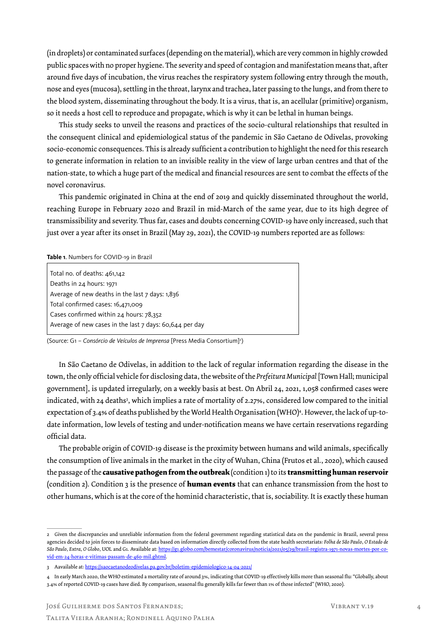(in droplets) or contaminated surfaces (depending on the material), which are very common in highly crowded public spaces with no proper hygiene. The severity and speed of contagion and manifestation means that, after around five days of incubation, the virus reaches the respiratory system following entry through the mouth, nose and eyes (mucosa), settling in the throat, larynx and trachea, later passing to the lungs, and from there to the blood system, disseminating throughout the body. It is a virus, that is, an acellular (primitive) organism, so it needs a host cell to reproduce and propagate, which is why it can be lethal in human beings.

This study seeks to unveil the reasons and practices of the socio-cultural relationships that resulted in the consequent clinical and epidemiological status of the pandemic in São Caetano de Odivelas, provoking socio-economic consequences. This is already sufficient a contribution to highlight the need for this research to generate information in relation to an invisible reality in the view of large urban centres and that of the nation-state, to which a huge part of the medical and financial resources are sent to combat the effects of the novel coronavirus.

This pandemic originated in China at the end of 2019 and quickly disseminated throughout the world, reaching Europe in February 2020 and Brazil in mid-March of the same year, due to its high degree of transmissibility and severity. Thus far, cases and doubts concerning COVID-19 have only increased, such that just over a year after its onset in Brazil (May 29, 2021), the COVID-19 numbers reported are as follows:

#### **Table 1**. Numbers for COVID-19 in Brazil

| Total no. of deaths: 461,142                            |
|---------------------------------------------------------|
| Deaths in 24 hours: 1971                                |
| Average of new deaths in the last $7$ days: $1,836$     |
| Total confirmed cases: 16,471,009                       |
| Cases confirmed within 24 hours: 78,352                 |
| Average of new cases in the last 7 days: 60,644 per day |
|                                                         |

(Source: G1 – *Consórcio de Veículos de Imprensa* [Press Media Consortium]2 )

In São Caetano de Odivelas, in addition to the lack of regular information regarding the disease in the town, the only official vehicle for disclosing data, the website of the *Prefeitura Municipal* [Town Hall; municipal government], is updated irregularly, on a weekly basis at best. On Abril 24, 2021, 1,058 confirmed cases were indicated, with 24 deaths<sup>3</sup>, which implies a rate of mortality of 2.27%, considered low compared to the initial expectation of 3.4% of deaths published by the World Health Organisation (WHO)4 . However, the lack of up-todate information, low levels of testing and under-notification means we have certain reservations regarding official data.

The probable origin of COVID-19 disease is the proximity between humans and wild animals, specifically the consumption of live animals in the market in the city of Wuhan, China (Frutos et al., 2020), which caused the passage of the **causative pathogen from the outbreak** (condition 1) to its **transmitting human reservoir** (condition 2). Condition 3 is the presence of **human events** that can enhance transmission from the host to other humans, which is at the core of the hominid characteristic, that is, sociability. It is exactly these human

<sup>2</sup> Given the discrepancies and unreliable information from the federal government regarding statistical data on the pandemic in Brazil, several press agencies decided to join forces to disseminate data based on information directly collected from the state health secretariats: *Folha de São Paulo*, *O Estado de São Paulo*, *Extra*, *O Globo*, UOL and G1. Available at: https://g1.globo.com/bemestar/coronavirus/noticia/2021/05/29/brasil-registra-1971-novas-mortes-por-covid-em-24-horas-e-vitimas-passam-de-460-mil.ghtml.

<sup>3</sup> Aavailable at: https://saocaetanodeodivelas.pa.gov.br/boletim-epidemiologico-14-04-2021/

<sup>4</sup> In early March 2020, the WHO estimated a mortality rate of around 3%, indicating that COVID-19 effectively kills more than seasonal flu: "Globally, about 3.4% of reported COVID-19 cases have died. By comparison, seasonal flu generally kills far fewer than 1% of those infected" (WHO, 2020).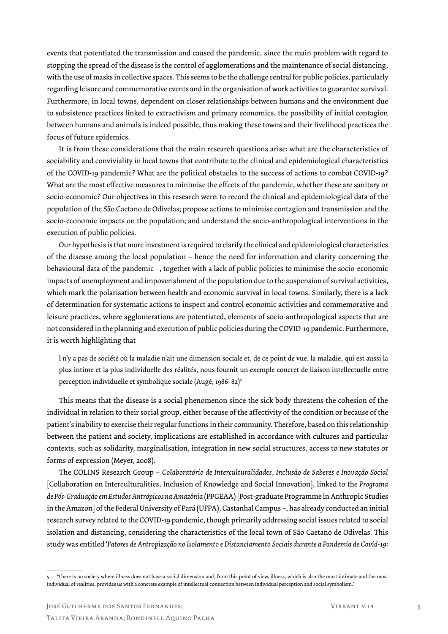events that potentiated the transmission and caused the pandemic, since the main problem with regard to stopping the spread of the disease is the control of agglomerations and the maintenance of social distancing, with the use of masks in collective spaces. This seems to be the challenge central for public policies, particularly regarding leisure and commemorative events and in the organisation of work activities to guarantee survival. Furthermore, in local towns, dependent on closer relationships between humans and the environment due to subsistence practices linked to extractivism and primary economics, the possibility of initial contagion between humans and animals is indeed possible, thus making these towns and their livelihood practices the focus of future epidemics.

It is from these considerations that the main research questions arise: what are the characteristics of sociability and conviviality in local towns that contribute to the clinical and epidemiological characteristics of the COVID-19 pandemic? What are the political obstacles to the success of actions to combat COVID-19? What are the most effective measures to minimise the effects of the pandemic, whether these are sanitary or socio-economic? Our objectives in this research were: to record the clinical and epidemiological data of the population of the São Caetano de Odivelas; propose actions to minimise contagion and transmission and the socio-economic impacts on the population; and understand the socio-anthropological interventions in the execution of public policies.

Our hypothesis is that more investment is required to clarify the clinical and epidemiological characteristics of the disease among the local population – hence the need for information and clarity concerning the behavioural data of the pandemic –, together with a lack of public policies to minimise the socio-economic impacts of unemployment and impoverishment of the population due to the suspension of survival activities, which mark the polarisation between health and economic survival in local towns. Similarly, there is a lack of determination for systematic actions to inspect and control economic activities and commemorative and leisure practices, where agglomerations are potentiated, elements of socio-anthropological aspects that are not considered in the planning and execution of public policies during the COVID-19 pandemic. Furthermore, it is worth highlighting that

l n'y a pas de société où la maladie n'ait une dimension sociale et, de ce point de vue, la maladie, qui est aussi la plus intime et la plus individuelle des réalités, nous fournit un exemple concret de liaison intellectuelle entre perception individuelle et symbolique sociale (Augé, 1986: 82)<sup>5</sup>

This means that the disease is a social phenomenon since the sick body threatens the cohesion of the individual in relation to their social group, either because of the affectivity of the condition or because of the patient's inability to exercise their regular functions in their community. Therefore, based on this relationship between the patient and society, implications are established in accordance with cultures and particular contexts, such as solidarity, marginalisation, integration in new social structures, access to new statutes or forms of expression (Meyer, 2008).

The COLINS Research Group – *Colaboratório de Interculturalidades, Inclusão de Saberes e Inovação Social* [Collaboration on Interculturalities, Inclusion of Knowledge and Social Innovation], linked to the *Programa de Pós-Graduação em Estudos Antrópicos na Amazônia* (PPGEAA) [Post-graduate Programme in Anthropic Studies in the Amazon] of the Federal University of Pará (UFPA), Castanhal Campus –, has already conducted an initial research survey related to the COVID-19 pandemic, though primarily addressing social issues related to social isolation and distancing, considering the characteristics of the local town of São Caetano de Odivelas. This study was entitled '*Fatores de Antropização no Isolamento e Distanciamento Sociais durante a Pandemia de Covid-19:* 

<sup>5 &#</sup>x27;There is no society where illness does not have a social dimension and, from this point of view, illness, which is also the most intimate and the most individual of realities, provides us with a concrete example of intellectual connection between individual perception and social symbolism.'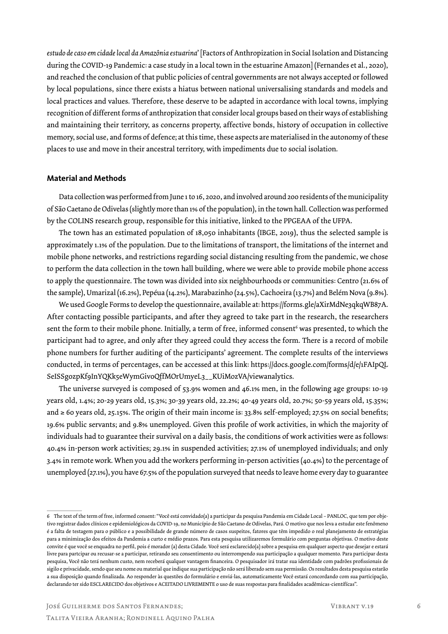*estudo de caso em cidade local da Amazônia estuarina*' [Factors of Anthropization in Social Isolation and Distancing during the COVID-19 Pandemic: a case study in a local town in the estuarine Amazon] (Fernandes et al., 2020), and reached the conclusion of that public policies of central governments are not always accepted or followed by local populations, since there exists a hiatus between national universalising standards and models and local practices and values. Therefore, these deserve to be adapted in accordance with local towns, implying recognition of different forms of anthropization that consider local groups based on their ways of establishing and maintaining their territory, as concerns property, affective bonds, history of occupation in collective memory, social use, and forms of defence; at this time, these aspects are materialised in the autonomy of these places to use and move in their ancestral territory, with impediments due to social isolation.

#### **Material and Methods**

Data collection was performed from June 1 to 16, 2020, and involved around 200 residents of the municipality of São Caetano de Odivelas (slightly more than 1% of the population), in the town hall. Collection was performed by the COLINS research group, responsible for this initiative, linked to the PPGEAA of the UFPA.

The town has an estimated population of 18,050 inhabitants (IBGE, 2019), thus the selected sample is approximately 1.1% of the population. Due to the limitations of transport, the limitations of the internet and mobile phone networks, and restrictions regarding social distancing resulting from the pandemic, we chose to perform the data collection in the town hall building, where we were able to provide mobile phone access to apply the questionnaire. The town was divided into six neighbourhoods or communities: Centro (21.6% of the sample), Umarizal (16.2%), Pepéua (14.2%), Marabazinho (24.5%), Cachoeira (13.7%) and Belém Nova (9.8%).

We used Google Forms to develop the questionnaire, available at: https://forms.gle/aXirMdNe3qkqWB87A. After contacting possible participants, and after they agreed to take part in the research, the researchers sent the form to their mobile phone. Initially, a term of free, informed consent $^{\rm 6}$  was presented, to which the participant had to agree, and only after they agreed could they access the form. There is a record of mobile phone numbers for further auditing of the participants' agreement. The complete results of the interviews conducted, in terms of percentages, can be accessed at this link: https://docs.google.com/forms/d/e/1FAIpQL SeISSgozpKf9InYQKk5eWymGivoQffMOrUmyeL3\_KUiMozVA/viewanalytics.

The universe surveyed is composed of 53.9% women and 46.1% men, in the following age groups: 10-19 years old, 1.4%; 20-29 years old, 15.3%; 30-39 years old, 22.2%; 40-49 years old, 20.7%; 50-59 years old, 15.35%; and ≥ 60 years old, 25.15%. The origin of their main income is: 33.8% self-employed; 27.5% on social benefits; 19.6% public servants; and 9.8% unemployed. Given this profile of work activities, in which the majority of individuals had to guarantee their survival on a daily basis, the conditions of work activities were as follows: 40.4% in-person work activities; 29.1% in suspended activities; 27.1% of unemployed individuals; and only 3.4% in remote work. When you add the workers performing in-person activities (40.4%) to the percentage of unemployed (27.1%), you have 67.5% of the population surveyed that needs to leave home every day to guarantee

<sup>6</sup> The text of the term of free, informed consent: "Você está convidado(a) a participar da pesquisa Pandemia em Cidade Local – PANLOC, que tem por objetivo registrar dados clínicos e epidemiológicos da COVID-19, no Município de São Caetano de Odivelas, Pará. O motivo que nos leva a estudar este fenômeno é a falta de testagem para o público e a possibilidade de grande número de casos suspeitos, fatores que têm impedido o real planejamento de estratégias para a minimização dos efeitos da Pandemia a curto e médio prazos. Para esta pesquisa utilizaremos formulário com perguntas objetivas. O motivo deste convite é que você se enquadra no perfil, pois é morador (a) desta Cidade. Você será esclarecido(a) sobre a pesquisa em qualquer aspecto que desejar e estará livre para partcipar ou recusar-se a participar, retirando seu consentimento ou interrompendo sua participação a qualquer momento. Para participar desta pesquisa, Você não terá nenhum custo, nem receberá qualquer vantagem financeira. O pesquisador irá tratar sua identidade com padrões profissionais de sigilo e privacidade, sendo que seu nome ou material que indique sua participação não será liberado sem sua permissão. Os resultados desta pesquisa estarão a sua disposição quando finalizada. Ao responder às questões do formulário e enviá-las, automaticamente Você estará concordando com sua participação, declarando ter sido ESCLARECIDO dos objetivos e ACEITADO LIVREMENTE o uso de suas respostas para finalidades acadêmicas-científícas".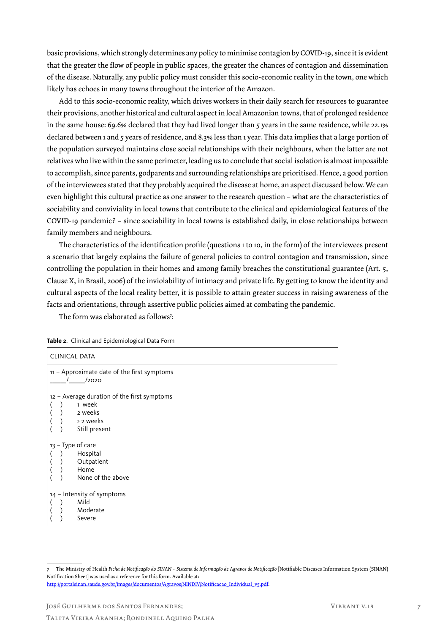basic provisions, which strongly determines any policy to minimise contagion by COVID-19, since it is evident that the greater the flow of people in public spaces, the greater the chances of contagion and dissemination of the disease. Naturally, any public policy must consider this socio-economic reality in the town, one which likely has echoes in many towns throughout the interior of the Amazon.

Add to this socio-economic reality, which drives workers in their daily search for resources to guarantee their provisions, another historical and cultural aspect in local Amazonian towns, that of prolonged residence in the same house: 69.6% declared that they had lived longer than 5 years in the same residence, while 22.1% declared between 1 and 5 years of residence, and 8.3% less than 1 year. This data implies that a large portion of the population surveyed maintains close social relationships with their neighbours, when the latter are not relatives who live within the same perimeter, leading us to conclude that social isolation is almost impossible to accomplish, since parents, godparents and surrounding relationships are prioritised. Hence, a good portion of the interviewees stated that they probably acquired the disease at home, an aspect discussed below. We can even highlight this cultural practice as one answer to the research question – what are the characteristics of sociability and conviviality in local towns that contribute to the clinical and epidemiological features of the COVID-19 pandemic? – since sociability in local towns is established daily, in close relationships between family members and neighbours.

The characteristics of the identification profile (questions 1 to 10, in the form) of the interviewees present a scenario that largely explains the failure of general policies to control contagion and transmission, since controlling the population in their homes and among family breaches the constitutional guarantee (Art. 5, Clause X, in Brasil, 2006) of the inviolability of intimacy and private life. By getting to know the identity and cultural aspects of the local reality better, it is possible to attain greater success in raising awareness of the facts and orientations, through assertive public policies aimed at combating the pandemic.

The form was elaborated as follows<sup>7</sup>:

|  | <b>CLINICAL DATA</b>                                                                           |
|--|------------------------------------------------------------------------------------------------|
|  | 11 - Approximate date of the first symptoms<br>/2020                                           |
|  | 12 - Average duration of the first symptoms<br>1 week<br>2 weeks<br>> 2 weeks<br>Still present |
|  | 13 - Type of care<br>Hospital<br>Outpatient<br>Home<br>None of the above                       |
|  | 14 - Intensity of symptoms<br>Mild<br>Moderate<br>Severe                                       |

**Table 2**. Clinical and Epidemiological Data Form

José Guilherme dos Santos Fernandes;

<sup>7</sup> The Ministry of Health *Ficha de Notificação do SINAN – Sistema de Informação de Agravos de Notificação* [Notifiable Diseases Information System (SINAN) Notification Sheet] was used as a reference for this form. Available at: http://portalsinan.saude.gov.br/images/documentos/Agravos/NINDIV/Notificacao\_Individual\_v5.pdf.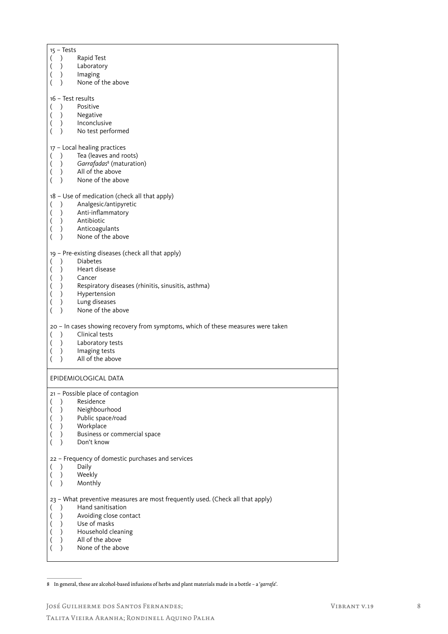|                          | $15 - Tests$     |                                                                                  |
|--------------------------|------------------|----------------------------------------------------------------------------------|
|                          |                  |                                                                                  |
| $\overline{\mathcal{L}}$ | $\mathcal{L}$    | Rapid Test                                                                       |
| $\overline{(}$           | $\lambda$        | Laboratory                                                                       |
| (                        |                  | Imaging                                                                          |
| (                        |                  | None of the above                                                                |
|                          |                  |                                                                                  |
|                          |                  |                                                                                  |
|                          |                  | 16 - Test results                                                                |
| <sup>(</sup>             | $\lambda$        | Positive                                                                         |
| $\left($                 | $\left( \right)$ | Negative                                                                         |
| (                        | $\overline{)}$   | Inconclusive                                                                     |
|                          |                  |                                                                                  |
| (                        |                  | No test performed                                                                |
|                          |                  |                                                                                  |
|                          |                  | 17 - Local healing practices                                                     |
| $\overline{(}$           | $\lambda$        | Tea (leaves and roots)                                                           |
| $\left($                 | $\lambda$        | Garrafadas <sup>8</sup> (maturation)                                             |
|                          |                  |                                                                                  |
| (                        | $\mathcal{L}$    | All of the above                                                                 |
| (                        | $\lambda$        | None of the above                                                                |
|                          |                  |                                                                                  |
|                          |                  | 18 - Use of medication (check all that apply)                                    |
| $\overline{\mathcal{L}}$ | $\lambda$        | Analgesic/antipyretic                                                            |
|                          | $\lambda$        | Anti-inflammatory                                                                |
| (                        |                  |                                                                                  |
| (                        | $\rightarrow$    | Antibiotic                                                                       |
| (                        |                  | Anticoagulants                                                                   |
| (                        |                  | None of the above                                                                |
|                          |                  |                                                                                  |
|                          |                  |                                                                                  |
|                          |                  | 19 - Pre-existing diseases (check all that apply)                                |
| <sup>(</sup>             | $\mathcal{E}$    | <b>Diabetes</b>                                                                  |
| $\overline{\phantom{a}}$ | $\mathcal{E}$    | Heart disease                                                                    |
|                          | $\lambda$        | Cancer                                                                           |
| (                        |                  |                                                                                  |
| (                        |                  | Respiratory diseases (rhinitis, sinusitis, asthma)                               |
| (                        | $\lambda$        | Hypertension                                                                     |
| (                        |                  | Lung diseases                                                                    |
| (                        |                  | None of the above                                                                |
|                          |                  |                                                                                  |
|                          |                  |                                                                                  |
|                          |                  |                                                                                  |
|                          |                  | 20 - In cases showing recovery from symptoms, which of these measures were taken |
| $\overline{ }$           | $\lambda$        | Clinical tests                                                                   |
|                          |                  |                                                                                  |
| $\overline{(}$           | $\mathcal{L}$    | Laboratory tests                                                                 |
| (                        | $\lambda$        | Imaging tests                                                                    |
| (                        |                  | All of the above                                                                 |
|                          |                  |                                                                                  |
|                          |                  | EPIDEMIOLOGICAL DATA                                                             |
|                          |                  |                                                                                  |
|                          |                  | 21 - Possible place of contagion                                                 |
|                          |                  |                                                                                  |
| $\overline{ }$           | $\mathcal{E}$    | Residence                                                                        |
| $\overline{(}$           | $\lambda$        | Neighbourhood                                                                    |
| (                        | $\mathcal{E}$    | Public space/road                                                                |
|                          | $\mathcal{L}$    |                                                                                  |
| (                        |                  | Workplace                                                                        |
| (                        |                  | Business or commercial space                                                     |
| (                        |                  | Don't know                                                                       |
|                          |                  |                                                                                  |
|                          |                  | 22 - Frequency of domestic purchases and services                                |
| $\overline{\mathcal{L}}$ | $\lambda$        | Daily                                                                            |
|                          | $\lambda$        |                                                                                  |
| $\overline{\phantom{a}}$ |                  | Weekly                                                                           |
| (                        |                  | Monthly                                                                          |
|                          |                  |                                                                                  |
|                          |                  | 23 - What preventive measures are most frequently used. (Check all that apply)   |
| (                        | $\lambda$        | Hand sanitisation                                                                |
|                          | $\lambda$        |                                                                                  |
| $\overline{\mathcal{L}}$ |                  | Avoiding close contact                                                           |
| (                        | $\lambda$        | Use of masks                                                                     |
| (                        | $\mathcal{L}$    | Household cleaning                                                               |
| (                        |                  | All of the above                                                                 |
|                          |                  | None of the above                                                                |
|                          |                  |                                                                                  |

8 In general, these are alcohol-based infusions of herbs and plant materials made in a bottle – a '*garrafa*'.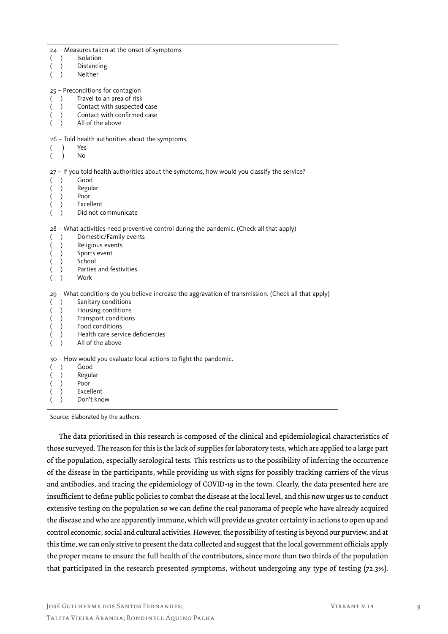| Neither<br>$\mathcal{L}$<br>25 - Preconditions for contagion<br>Travel to an area of risk<br>$\mathcal{L}$<br>$\left($<br>Contact with suspected case<br>$\mathcal{L}$<br>$\left($<br>Contact with confirmed case<br>$\mathcal{L}$<br>$\overline{(}$<br>All of the above<br>(<br>$\mathcal{L}$<br>26 - Told health authorities about the symptoms.<br>$\mathcal{L}$<br>Yes<br>(<br>$\lambda$<br>No<br>27 - If you told health authorities about the symptoms, how would you classify the service?<br>Good<br>$\lambda$<br>$\mathcal{L}$<br>Regular<br>$\overline{(}$<br>Poor<br>(<br>$\lambda$<br>Excellent<br>(<br>$\mathcal{L}$<br>Did not communicate<br>$\lambda$<br>28 - What activities need preventive control during the pandemic. (Check all that apply)<br>Domestic/Family events<br>$\lambda$<br>$\overline{\mathcal{L}}$<br>Religious events<br>$\mathcal{L}$<br>$\overline{(}$<br>Sports event<br>$\left($<br>$\left( \right)$<br>School<br>$\mathcal{L}$<br>(<br>Parties and festivities<br>(<br>$\mathcal{L}$<br>Work<br>$\mathcal{L}$<br>29 - What conditions do you believe increase the aggravation of transmission. (Check all that apply)<br>Sanitary conditions<br>$\mathcal{L}$<br>Housing conditions<br>$\lambda$<br>$\left($<br>Transport conditions<br>$\left($<br>$\mathcal{L}$<br>Food conditions<br>(<br>$\mathcal{L}$<br>(<br>Health care service deficiencies<br>$\mathcal{E}$<br>All of the above<br>$\lambda$<br>30 - How would you evaluate local actions to fight the pandemic.<br>Good<br>$\mathcal{L}$<br>$\overline{ }$<br>Regular<br>$\mathcal{L}$<br>$\overline{(}$<br>Poor<br>$\lambda$<br>$\overline{ }$<br>Excellent<br>$\mathcal{L}$<br>$\overline{(}$ | 24 - Measures taken at the onset of symptoms<br>Isolation<br>$\lambda$<br>$\overline{ }$<br>Distancing<br>$\mathcal{L}$ |
|---------------------------------------------------------------------------------------------------------------------------------------------------------------------------------------------------------------------------------------------------------------------------------------------------------------------------------------------------------------------------------------------------------------------------------------------------------------------------------------------------------------------------------------------------------------------------------------------------------------------------------------------------------------------------------------------------------------------------------------------------------------------------------------------------------------------------------------------------------------------------------------------------------------------------------------------------------------------------------------------------------------------------------------------------------------------------------------------------------------------------------------------------------------------------------------------------------------------------------------------------------------------------------------------------------------------------------------------------------------------------------------------------------------------------------------------------------------------------------------------------------------------------------------------------------------------------------------------------------------------------------------------------------------------------------------------------|-------------------------------------------------------------------------------------------------------------------------|
|                                                                                                                                                                                                                                                                                                                                                                                                                                                                                                                                                                                                                                                                                                                                                                                                                                                                                                                                                                                                                                                                                                                                                                                                                                                                                                                                                                                                                                                                                                                                                                                                                                                                                                   |                                                                                                                         |
|                                                                                                                                                                                                                                                                                                                                                                                                                                                                                                                                                                                                                                                                                                                                                                                                                                                                                                                                                                                                                                                                                                                                                                                                                                                                                                                                                                                                                                                                                                                                                                                                                                                                                                   |                                                                                                                         |
|                                                                                                                                                                                                                                                                                                                                                                                                                                                                                                                                                                                                                                                                                                                                                                                                                                                                                                                                                                                                                                                                                                                                                                                                                                                                                                                                                                                                                                                                                                                                                                                                                                                                                                   |                                                                                                                         |
|                                                                                                                                                                                                                                                                                                                                                                                                                                                                                                                                                                                                                                                                                                                                                                                                                                                                                                                                                                                                                                                                                                                                                                                                                                                                                                                                                                                                                                                                                                                                                                                                                                                                                                   |                                                                                                                         |
|                                                                                                                                                                                                                                                                                                                                                                                                                                                                                                                                                                                                                                                                                                                                                                                                                                                                                                                                                                                                                                                                                                                                                                                                                                                                                                                                                                                                                                                                                                                                                                                                                                                                                                   |                                                                                                                         |
|                                                                                                                                                                                                                                                                                                                                                                                                                                                                                                                                                                                                                                                                                                                                                                                                                                                                                                                                                                                                                                                                                                                                                                                                                                                                                                                                                                                                                                                                                                                                                                                                                                                                                                   |                                                                                                                         |
| Don't know<br>$\mathcal{E}$<br>Source: Elaborated by the authors.                                                                                                                                                                                                                                                                                                                                                                                                                                                                                                                                                                                                                                                                                                                                                                                                                                                                                                                                                                                                                                                                                                                                                                                                                                                                                                                                                                                                                                                                                                                                                                                                                                 |                                                                                                                         |

The data prioritised in this research is composed of the clinical and epidemiological characteristics of those surveyed. The reason for this is the lack of supplies for laboratory tests, which are applied to a large part of the population, especially serological tests. This restricts us to the possibility of inferring the occurrence of the disease in the participants, while providing us with signs for possibly tracking carriers of the virus and antibodies, and tracing the epidemiology of COVID-19 in the town. Clearly, the data presented here are insufficient to define public policies to combat the disease at the local level, and this now urges us to conduct extensive testing on the population so we can define the real panorama of people who have already acquired the disease and who are apparently immune, which will provide us greater certainty in actions to open up and control economic, social and cultural activities. However, the possibility of testing is beyond our purview, and at this time, we can only strive to present the data collected and suggest that the local government officials apply the proper means to ensure the full health of the contributors, since more than two thirds of the population that participated in the research presented symptoms, without undergoing any type of testing (72.3%).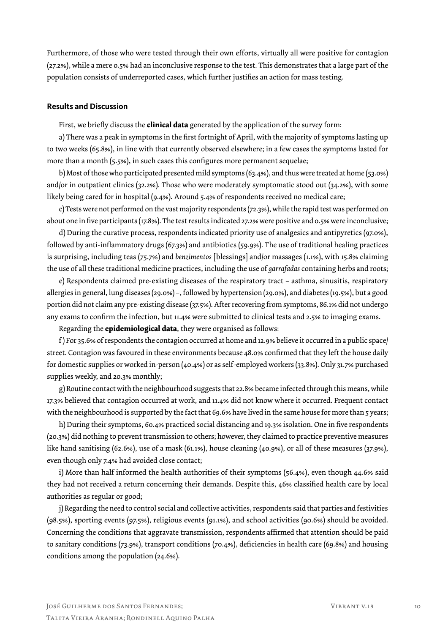Furthermore, of those who were tested through their own efforts, virtually all were positive for contagion (27.2%), while a mere 0.5% had an inconclusive response to the test. This demonstrates that a large part of the population consists of underreported cases, which further justifies an action for mass testing.

#### **Results and Discussion**

First, we briefly discuss the **clinical data** generated by the application of the survey form:

a) There was a peak in symptoms in the first fortnight of April, with the majority of symptoms lasting up to two weeks (65.8%), in line with that currently observed elsewhere; in a few cases the symptoms lasted for more than a month (5.5%), in such cases this configures more permanent sequelae;

b) Most of those who participated presented mild symptoms (63.4%), and thus were treated at home (53.0%) and/or in outpatient clinics (32.2%). Those who were moderately symptomatic stood out (34.2%), with some likely being cared for in hospital (9.4%). Around 5.4% of respondents received no medical care;

c) Tests were not performed on the vast majority respondents (72.3%), while the rapid test was performed on about one in five participants (17.8%). The test results indicated 27.2% were positive and 0.5% were inconclusive;

d) During the curative process, respondents indicated priority use of analgesics and antipyretics (97.0%), followed by anti-inflammatory drugs (67.3%) and antibiotics (59.9%). The use of traditional healing practices is surprising, including teas (75.7%) and *benzimentos* [blessings] and/or massages (1.1%), with 15.8% claiming the use of all these traditional medicine practices, including the use of *garrafadas* containing herbs and roots;

e) Respondents claimed pre-existing diseases of the respiratory tract – asthma, sinusitis, respiratory allergies in general, lung diseases (29.0%) –, followed by hypertension (29.0%), and diabetes (19.5%), but a good portion did not claim any pre-existing disease (37.5%). After recovering from symptoms, 86.1% did not undergo any exams to confirm the infection, but 11.4% were submitted to clinical tests and 2.5% to imaging exams.

Regarding the **epidemiological data**, they were organised as follows:

f ) For 35.6% of respondents the contagion occurred at home and 12.9% believe it occurred in a public space/ street. Contagion was favoured in these environments because 48.0% confirmed that they left the house daily for domestic supplies or worked in-person (40.4%) or as self-employed workers (33.8%). Only 31.7% purchased supplies weekly, and 20.3% monthly;

g) Routine contact with the neighbourhood suggests that 22.8% became infected through this means, while 17.3% believed that contagion occurred at work, and 11.4% did not know where it occurred. Frequent contact with the neighbourhood is supported by the fact that 69.6% have lived in the same house for more than 5 years;

h) During their symptoms, 60.4% practiced social distancing and 19.3% isolation. One in five respondents (20.3%) did nothing to prevent transmission to others; however, they claimed to practice preventive measures like hand sanitising (62.6%), use of a mask (61.1%), house cleaning (40.9%), or all of these measures (37.9%), even though only 7.4% had avoided close contact;

i) More than half informed the health authorities of their symptoms (56.4%), even though 44.6% said they had not received a return concerning their demands. Despite this, 46% classified health care by local authorities as regular or good;

j) Regarding the need to control social and collective activities, respondents said that parties and festivities (98.5%), sporting events (97.5%), religious events (91.1%), and school activities (90.6%) should be avoided. Concerning the conditions that aggravate transmission, respondents affirmed that attention should be paid to sanitary conditions (73.9%), transport conditions (70.4%), deficiencies in health care (69.8%) and housing conditions among the population (24.6%).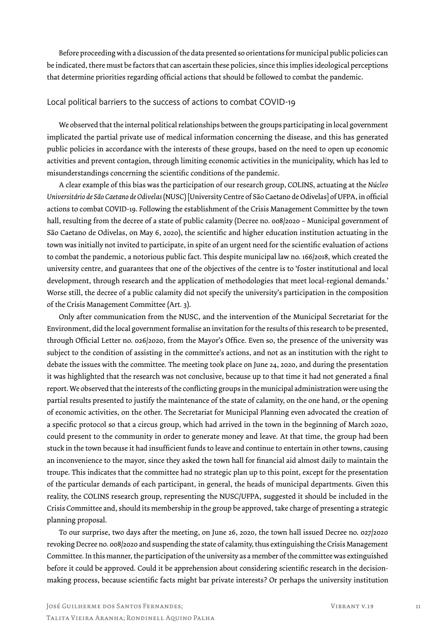Before proceeding with a discussion of the data presented so orientations for municipal public policies can be indicated, there must be factors that can ascertain these policies, since this implies ideological perceptions that determine priorities regarding official actions that should be followed to combat the pandemic.

#### Local political barriers to the success of actions to combat COVID-19

We observed that the internal political relationships between the groups participating in local government implicated the partial private use of medical information concerning the disease, and this has generated public policies in accordance with the interests of these groups, based on the need to open up economic activities and prevent contagion, through limiting economic activities in the municipality, which has led to misunderstandings concerning the scientific conditions of the pandemic.

A clear example of this bias was the participation of our research group, COLINS, actuating at the *Núcleo Universitário de São Caetano de Odivelas* (NUSC) [University Centre of São Caetano de Odivelas] of UFPA, in official actions to combat COVID-19. Following the establishment of the Crisis Management Committee by the town hall, resulting from the decree of a state of public calamity (Decree no. 008/2020 - Municipal government of São Caetano de Odivelas, on May 6, 2020), the scientific and higher education institution actuating in the town was initially not invited to participate, in spite of an urgent need for the scientific evaluation of actions to combat the pandemic, a notorious public fact. This despite municipal law no. 166/2018, which created the university centre, and guarantees that one of the objectives of the centre is to 'foster institutional and local development, through research and the application of methodologies that meet local-regional demands.' Worse still, the decree of a public calamity did not specify the university's participation in the composition of the Crisis Management Committee (Art. 3).

Only after communication from the NUSC, and the intervention of the Municipal Secretariat for the Environment, did the local government formalise an invitation for the results of this research to be presented, through Official Letter no. 026/2020, from the Mayor's Office. Even so, the presence of the university was subject to the condition of assisting in the committee's actions, and not as an institution with the right to debate the issues with the committee. The meeting took place on June 24, 2020, and during the presentation it was highlighted that the research was not conclusive, because up to that time it had not generated a final report. We observed that the interests of the conflicting groups in the municipal administration were using the partial results presented to justify the maintenance of the state of calamity, on the one hand, or the opening of economic activities, on the other. The Secretariat for Municipal Planning even advocated the creation of a specific protocol so that a circus group, which had arrived in the town in the beginning of March 2020, could present to the community in order to generate money and leave. At that time, the group had been stuck in the town because it had insufficient funds to leave and continue to entertain in other towns, causing an inconvenience to the mayor, since they asked the town hall for financial aid almost daily to maintain the troupe. This indicates that the committee had no strategic plan up to this point, except for the presentation of the particular demands of each participant, in general, the heads of municipal departments. Given this reality, the COLINS research group, representing the NUSC/UFPA, suggested it should be included in the Crisis Committee and, should its membership in the group be approved, take charge of presenting a strategic planning proposal.

To our surprise, two days after the meeting, on June 26, 2020, the town hall issued Decree no. 027/2020 revoking Decree no. 008/2020 and suspending the state of calamity, thus extinguishing the Crisis Management Committee. In this manner, the participation of the university as a member of the committee was extinguished before it could be approved. Could it be apprehension about considering scientific research in the decisionmaking process, because scientific facts might bar private interests? Or perhaps the university institution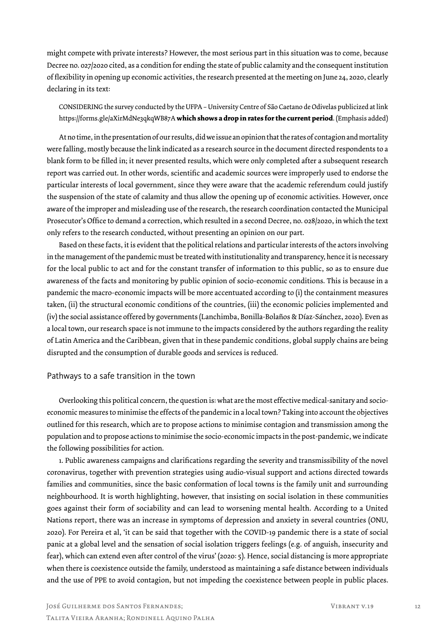might compete with private interests? However, the most serious part in this situation was to come, because Decree no. 027/2020 cited, as a condition for ending the state of public calamity and the consequent institution of flexibility in opening up economic activities, the research presented at the meeting on June 24, 2020, clearly declaring in its text:

CONSIDERING the survey conducted by the UFPA – University Centre of São Caetano de Odivelas publicized at link https://forms.gle/aXirMdNe3qkqWB87A **which shows a drop in rates for the current period**. (Emphasis added)

At no time, in the presentation of our results, did we issue an opinion that the rates of contagion and mortality were falling, mostly because the link indicated as a research source in the document directed respondents to a blank form to be filled in; it never presented results, which were only completed after a subsequent research report was carried out. In other words, scientific and academic sources were improperly used to endorse the particular interests of local government, since they were aware that the academic referendum could justify the suspension of the state of calamity and thus allow the opening up of economic activities. However, once aware of the improper and misleading use of the research, the research coordination contacted the Municipal Prosecutor's Office to demand a correction, which resulted in a second Decree, no. 028/2020, in which the text only refers to the research conducted, without presenting an opinion on our part.

Based on these facts, it is evident that the political relations and particular interests of the actors involving in the management of the pandemic must be treated with institutionality and transparency, hence it is necessary for the local public to act and for the constant transfer of information to this public, so as to ensure due awareness of the facts and monitoring by public opinion of socio-economic conditions. This is because in a pandemic the macro-economic impacts will be more accentuated according to (i) the containment measures taken, (ii) the structural economic conditions of the countries, (iii) the economic policies implemented and (iv) the social assistance offered by governments (Lanchimba, Bonilla-Bolaños & Díaz-Sánchez, 2020). Even as a local town, our research space is not immune to the impacts considered by the authors regarding the reality of Latin America and the Caribbean, given that in these pandemic conditions, global supply chains are being disrupted and the consumption of durable goods and services is reduced.

#### Pathways to a safe transition in the town

Overlooking this political concern, the question is: what are the most effective medical-sanitary and socioeconomic measures to minimise the effects of the pandemic in a local town? Taking into account the objectives outlined for this research, which are to propose actions to minimise contagion and transmission among the population and to propose actions to minimise the socio-economic impacts in the post-pandemic, we indicate the following possibilities for action.

1. Public awareness campaigns and clarifications regarding the severity and transmissibility of the novel coronavirus, together with prevention strategies using audio-visual support and actions directed towards families and communities, since the basic conformation of local towns is the family unit and surrounding neighbourhood. It is worth highlighting, however, that insisting on social isolation in these communities goes against their form of sociability and can lead to worsening mental health. According to a United Nations report, there was an increase in symptoms of depression and anxiety in several countries (ONU, 2020). For Pereira et al, 'it can be said that together with the COVID-19 pandemic there is a state of social panic at a global level and the sensation of social isolation triggers feelings (e.g. of anguish, insecurity and fear), which can extend even after control of the virus' (2020: 5). Hence, social distancing is more appropriate when there is coexistence outside the family, understood as maintaining a safe distance between individuals and the use of PPE to avoid contagion, but not impeding the coexistence between people in public places.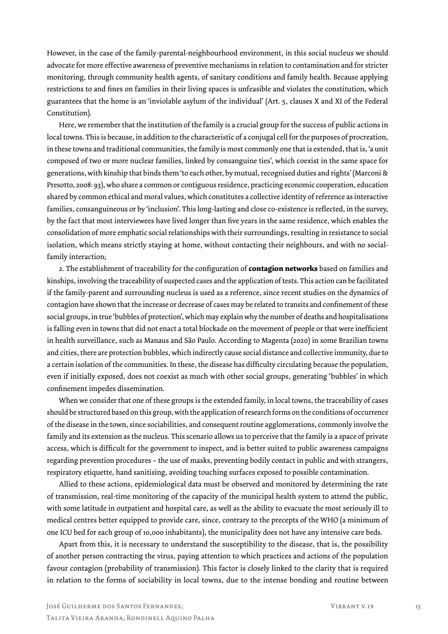However, in the case of the family-parental-neighbourhood environment, in this social nucleus we should advocate for more effective awareness of preventive mechanisms in relation to contamination and for stricter monitoring, through community health agents, of sanitary conditions and family health. Because applying restrictions to and fines on families in their living spaces is unfeasible and violates the constitution, which guarantees that the home is an 'inviolable asylum of the individual' (Art. 5, clauses X and XI of the Federal Constitution).

Here, we remember that the institution of the family is a crucial group for the success of public actions in local towns. This is because, in addition to the characteristic of a conjugal cell for the purposes of procreation, in these towns and traditional communities, the family is most commonly one that is extended, that is, 'a unit composed of two or more nuclear families, linked by consanguine ties', which coexist in the same space for generations, with kinship that binds them 'to each other, by mutual, recognised duties and rights' (Marconi & Presotto, 2008: 93), who share a common or contiguous residence, practicing economic cooperation, education shared by common ethical and moral values, which constitutes a collective identity of reference as interactive families, consanguineous or by 'inclusion'. This long-lasting and close co-existence is reflected, in the survey, by the fact that most interviewees have lived longer than five years in the same residence, which enables the consolidation of more emphatic social relationships with their surroundings, resulting in resistance to social isolation, which means strictly staying at home, without contacting their neighbours, and with no socialfamily interaction;

2. The establishment of traceability for the configuration of **contagion networks** based on families and kinships, involving the traceability of suspected cases and the application of tests. This action can be facilitated if the family-parent and surrounding nucleus is used as a reference, since recent studies on the dynamics of contagion have shown that the increase or decrease of cases may be related to transits and confinement of these social groups, in true 'bubbles of protection', which may explain why the number of deaths and hospitalisations is falling even in towns that did not enact a total blockade on the movement of people or that were inefficient in health surveillance, such as Manaus and São Paulo. According to Magenta (2020) in some Brazilian towns and cities, there are protection bubbles, which indirectly cause social distance and collective immunity, due to a certain isolation of the communities. In these, the disease has difficulty circulating because the population, even if initially exposed, does not coexist as much with other social groups, generating 'bubbles' in which confinement impedes dissemination.

When we consider that one of these groups is the extended family, in local towns, the traceability of cases should be structured based on this group, with the application of research forms on the conditions of occurrence of the disease in the town, since sociabilities, and consequent routine agglomerations, commonly involve the family and its extension as the nucleus. This scenario allows us to perceive that the family is a space of private access, which is difficult for the government to inspect, and is better suited to public awareness campaigns regarding prevention procedures – the use of masks, preventing bodily contact in public and with strangers, respiratory etiquette, hand sanitising, avoiding touching surfaces exposed to possible contamination.

Allied to these actions, epidemiological data must be observed and monitored by determining the rate of transmission, real-time monitoring of the capacity of the municipal health system to attend the public, with some latitude in outpatient and hospital care, as well as the ability to evacuate the most seriously ill to medical centres better equipped to provide care, since, contrary to the precepts of the WHO (a minimum of one ICU bed for each group of 10,000 inhabitants), the municipality does not have any intensive care beds.

Apart from this, it is necessary to understand the susceptibility to the disease, that is, the possibility of another person contracting the virus, paying attention to which practices and actions of the population favour contagion (probability of transmission). This factor is closely linked to the clarity that is required in relation to the forms of sociability in local towns, due to the intense bonding and routine between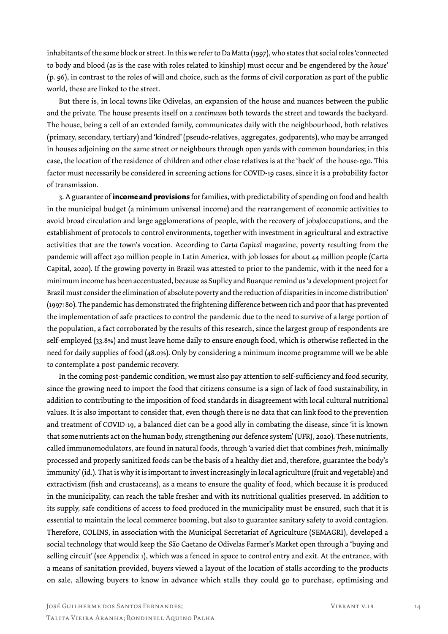inhabitants of the same block or street. In this we refer to Da Matta (1997), who states that social roles 'connected to body and blood (as is the case with roles related to kinship) must occur and be engendered by the *house*' (p. 96), in contrast to the roles of will and choice, such as the forms of civil corporation as part of the public world, these are linked to the street.

But there is, in local towns like Odivelas, an expansion of the house and nuances between the public and the private. The house presents itself on a *continuum* both towards the street and towards the backyard. The house, being a cell of an extended family, communicates daily with the neighbourhood, both relatives (primary, secondary, tertiary) and 'kindred' (pseudo-relatives, aggregates, godparents), who may be arranged in houses adjoining on the same street or neighbours through open yards with common boundaries; in this case, the location of the residence of children and other close relatives is at the 'back' of the house-ego. This factor must necessarily be considered in screening actions for COVID-19 cases, since it is a probability factor of transmission.

3. A guarantee of **income and provisions** for families, with predictability of spending on food and health in the municipal budget (a minimum universal income) and the rearrangement of economic activities to avoid broad circulation and large agglomerations of people, with the recovery of jobs/occupations, and the establishment of protocols to control environments, together with investment in agricultural and extractive activities that are the town's vocation. According to *Carta Capital* magazine, poverty resulting from the pandemic will affect 230 million people in Latin America, with job losses for about 44 million people (Carta Capital, 2020). If the growing poverty in Brazil was attested to prior to the pandemic, with it the need for a minimum income has been accentuated, because as Suplicy and Buarque remind us 'a development project for Brazil must consider the elimination of absolute poverty and the reduction of disparities in income distribution' (1997: 80). The pandemic has demonstrated the frightening difference between rich and poor that has prevented the implementation of safe practices to control the pandemic due to the need to survive of a large portion of the population, a fact corroborated by the results of this research, since the largest group of respondents are self-employed (33.8%) and must leave home daily to ensure enough food, which is otherwise reflected in the need for daily supplies of food (48.0%). Only by considering a minimum income programme will we be able to contemplate a post-pandemic recovery.

In the coming post-pandemic condition, we must also pay attention to self-sufficiency and food security, since the growing need to import the food that citizens consume is a sign of lack of food sustainability, in addition to contributing to the imposition of food standards in disagreement with local cultural nutritional values. It is also important to consider that, even though there is no data that can link food to the prevention and treatment of COVID-19, a balanced diet can be a good ally in combating the disease, since 'it is known that some nutrients act on the human body, strengthening our defence system' (UFRJ, 2020). These nutrients, called immunomodulators, are found in natural foods, through 'a varied diet that combines *fresh*, minimally processed and properly sanitized foods can be the basis of a healthy diet and, therefore, guarantee the body's immunity' (id.). That is why it is important to invest increasingly in local agriculture (fruit and vegetable) and extractivism (fish and crustaceans), as a means to ensure the quality of food, which because it is produced in the municipality, can reach the table fresher and with its nutritional qualities preserved. In addition to its supply, safe conditions of access to food produced in the municipality must be ensured, such that it is essential to maintain the local commerce booming, but also to guarantee sanitary safety to avoid contagion. Therefore, COLINS, in association with the Municipal Secretariat of Agriculture (SEMAGRI), developed a social technology that would keep the São Caetano de Odivelas Farmer's Market open through a 'buying and selling circuit' (see Appendix 1), which was a fenced in space to control entry and exit. At the entrance, with a means of sanitation provided, buyers viewed a layout of the location of stalls according to the products on sale, allowing buyers to know in advance which stalls they could go to purchase, optimising and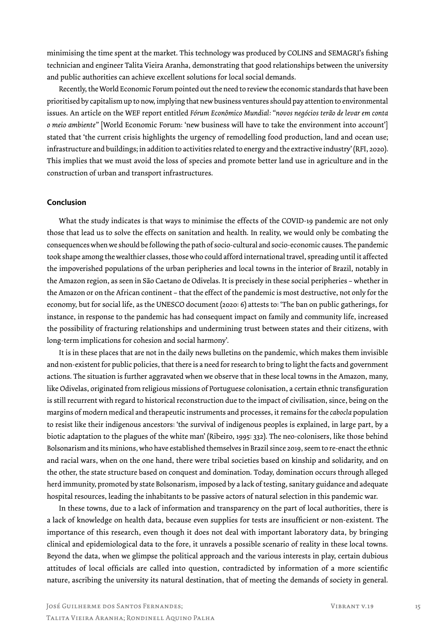minimising the time spent at the market. This technology was produced by COLINS and SEMAGRI's fishing technician and engineer Talita Vieira Aranha, demonstrating that good relationships between the university and public authorities can achieve excellent solutions for local social demands.

Recently, the World Economic Forum pointed out the need to review the economic standards that have been prioritised by capitalism up to now, implying that new business ventures should pay attention to environmental issues. An article on the WEF report entitled *Fórum Econômico Mundial: "novos negócios terão de levar em conta o meio ambiente"* [World Economic Forum: 'new business will have to take the environment into account'] stated that 'the current crisis highlights the urgency of remodelling food production, land and ocean use; infrastructure and buildings; in addition to activities related to energy and the extractive industry' (RFI, 2020). This implies that we must avoid the loss of species and promote better land use in agriculture and in the construction of urban and transport infrastructures.

#### **Conclusion**

What the study indicates is that ways to minimise the effects of the COVID-19 pandemic are not only those that lead us to solve the effects on sanitation and health. In reality, we would only be combating the consequences when we should be following the path of socio-cultural and socio-economic causes. The pandemic took shape among the wealthier classes, those who could afford international travel, spreading until it affected the impoverished populations of the urban peripheries and local towns in the interior of Brazil, notably in the Amazon region, as seen in São Caetano de Odivelas. It is precisely in these social peripheries – whether in the Amazon or on the African continent – that the effect of the pandemic is most destructive, not only for the economy, but for social life, as the UNESCO document (2020: 6) attests to: 'The ban on public gatherings, for instance, in response to the pandemic has had consequent impact on family and community life, increased the possibility of fracturing relationships and undermining trust between states and their citizens, with long-term implications for cohesion and social harmony'.

It is in these places that are not in the daily news bulletins on the pandemic, which makes them invisible and non-existent for public policies, that there is a need for research to bring to light the facts and government actions. The situation is further aggravated when we observe that in these local towns in the Amazon, many, like Odivelas, originated from religious missions of Portuguese colonisation, a certain ethnic transfiguration is still recurrent with regard to historical reconstruction due to the impact of civilisation, since, being on the margins of modern medical and therapeutic instruments and processes, it remains for the *cabocla* population to resist like their indigenous ancestors: 'the survival of indigenous peoples is explained, in large part, by a biotic adaptation to the plagues of the white man' (Ribeiro, 1995: 332). The neo-colonisers, like those behind Bolsonarism and its minions, who have established themselves in Brazil since 2019, seem to re-enact the ethnic and racial wars, when on the one hand, there were tribal societies based on kinship and solidarity, and on the other, the state structure based on conquest and domination. Today, domination occurs through alleged herd immunity, promoted by state Bolsonarism, imposed by a lack of testing, sanitary guidance and adequate hospital resources, leading the inhabitants to be passive actors of natural selection in this pandemic war.

In these towns, due to a lack of information and transparency on the part of local authorities, there is a lack of knowledge on health data, because even supplies for tests are insufficient or non-existent. The importance of this research, even though it does not deal with important laboratory data, by bringing clinical and epidemiological data to the fore, it unravels a possible scenario of reality in these local towns. Beyond the data, when we glimpse the political approach and the various interests in play, certain dubious attitudes of local officials are called into question, contradicted by information of a more scientific nature, ascribing the university its natural destination, that of meeting the demands of society in general.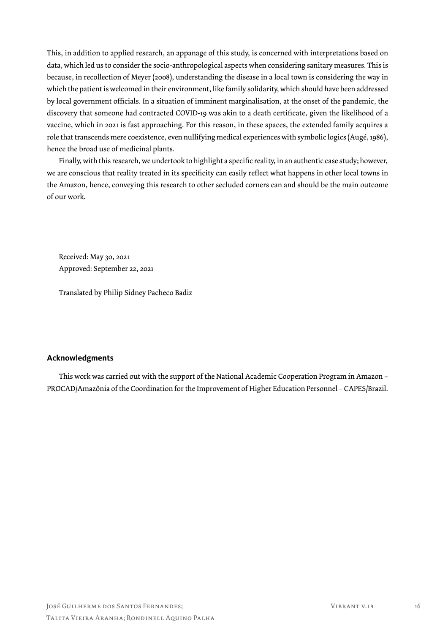This, in addition to applied research, an appanage of this study, is concerned with interpretations based on data, which led us to consider the socio-anthropological aspects when considering sanitary measures. This is because, in recollection of Meyer (2008), understanding the disease in a local town is considering the way in which the patient is welcomed in their environment, like family solidarity, which should have been addressed by local government officials. In a situation of imminent marginalisation, at the onset of the pandemic, the discovery that someone had contracted COVID-19 was akin to a death certificate, given the likelihood of a vaccine, which in 2021 is fast approaching. For this reason, in these spaces, the extended family acquires a role that transcends mere coexistence, even nullifying medical experiences with symbolic logics (Augé, 1986), hence the broad use of medicinal plants.

Finally, with this research, we undertook to highlight a specific reality, in an authentic case study; however, we are conscious that reality treated in its specificity can easily reflect what happens in other local towns in the Amazon, hence, conveying this research to other secluded corners can and should be the main outcome of our work.

Received: May 30, 2021 Approved: September 22, 2021

Translated by Philip Sidney Pacheco Badiz

#### **Acknowledgments**

This work was carried out with the support of the National Academic Cooperation Program in Amazon – PROCAD/Amazônia of the Coordination for the Improvement of Higher Education Personnel – CAPES/Brazil.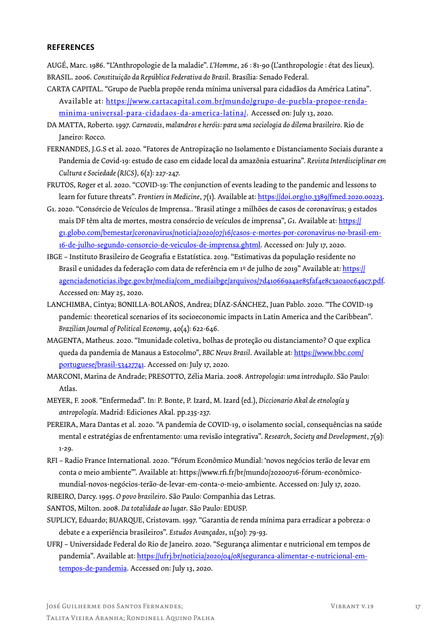#### **REFERENCES**

AUGÉ, Marc. 1986. "L'Anthropologie de la maladie". *L'Homme*, 26 : 81-90 (L'anthropologie : état des lieux). BRASIL. 2006. *Constituição da República Federativa do Brasil*. Brasília: Senado Federal.

- CARTA CAPITAL. "Grupo de Puebla propõe renda mínima universal para cidadãos da América Latina". Available at: https://www.cartacapital.com.br/mundo/grupo-de-puebla-propoe-rendaminima-universal-para-cidadaos-da-america-latina/. Accessed on: July 13, 2020.
- DA MATTA, Roberto. 1997. *Carnavais, malandros e heróis: para uma sociologia do dilema brasileiro*. Rio de Janeiro: Rocco.
- FERNANDES, J.G.S et al. 2020. "Fatores de Antropização no Isolamento e Distanciamento Sociais durante a Pandemia de Covid-19: estudo de caso em cidade local da amazônia estuarina". *Revista Interdisciplinar em Cultura e Sociedade (RICS)*, 6(2): 227-247.
- FRUTOS, Roger et al. 2020. "COVID-19: The conjunction of events leading to the pandemic and lessons to learn for future threats". *Frontiers in Medicine*, 7(1). Available at: https://doi.org/10.3389/fmed.2020.00223.
- G1. 2020. "Consórcio de Veículos de Imprensa.. 'Brasil atinge 2 milhões de casos de coronavírus; 9 estados mais DF têm alta de mortes, mostra consórcio de veículos de imprensa", *G1*. Available at: https:// g1.globo.com/bemestar/coronavirus/noticia/2020/07/16/casos-e-mortes-por-coronavirus-no-brasil-em-16-de-julho-segundo-consorcio-de-veiculos-de-imprensa.ghtml. Accessed on: July 17, 2020.
- IBGE Instituto Brasileiro de Geografia e Estatística. 2019. "Estimativas da população residente no Brasil e unidades da federação com data de referência em 1º de julho de 2019" Available at: https:// agenciadenoticias.ibge.gov.br/media/com\_mediaibge/arquivos/7d410669a4ae85faf4e8c3a0a0c649c7.pdf. Accessed on: May 25, 2020.
- LANCHIMBA, Cintya; BONILLA-BOLAÑOS, Andrea; DÍAZ-SÁNCHEZ, Juan Pablo. 2020. "The COVID-19 pandemic: theoretical scenarios of its socioeconomic impacts in Latin America and the Caribbean". *Brazilian Journal of Political Economy,* 40(4): 622-646.
- MAGENTA, Matheus. 2020. "Imunidade coletiva, bolhas de proteção ou distanciamento? O que explica queda da pandemia de Manaus a Estocolmo", *BBC News Brasil*. Available at: https://www.bbc.com/ portuguese/brasil-53427741. Accessed on: July 17, 2020.
- MARCONI, Marina de Andrade; PRESOTTO, Zélia Maria. 2008. *Antropologia: uma introdução*. São Paulo: Atlas.
- MEYER, F. 2008. "Enfermedad". In: P. Bonte, P. Izard, M. Izard (ed.), *Diccionario Akal de etnología y antropología*. Madrid: Ediciones Akal. pp.235-237.
- PEREIRA, Mara Dantas et al. 2020. "A pandemia de COVID-19, o isolamento social, consequências na saúde mental e estratégias de enfrentamento: uma revisão integrativa". *Research, Society and Development*, 7(9): 1-29.
- RFI Radio France International. 2020. "Fórum Econômico Mundial: 'novos negócios terão de levar em conta o meio ambiente"'. Available at: https://www.rfi.fr/br/mundo/20200716-fórum-econômicomundial-novos-negócios-terão-de-levar-em-conta-o-meio-ambiente. Accessed on: July 17, 2020.
- RIBEIRO, Darcy. 1995. *O povo brasileiro*. São Paulo: Companhia das Letras.

SANTOS, Milton. 2008. *Da totalidade ao lugar*. São Paulo: EDUSP.

- SUPLICY, Eduardo; BUARQUE, Cristovam. 1997. "Garantia de renda mínima para erradicar a pobreza: o debate e a experiência brasileiros". *Estudos Avançados*, 11(30): 79-93.
- UFRJ Universidade Federal do Rio de Janeiro. 2020. "Segurança alimentar e nutricional em tempos de pandemia". Available at: https://ufrj.br/noticia/2020/04/08/seguranca-alimentar-e-nutricional-emtempos-de-pandemia. Accessed on: July 13, 2020.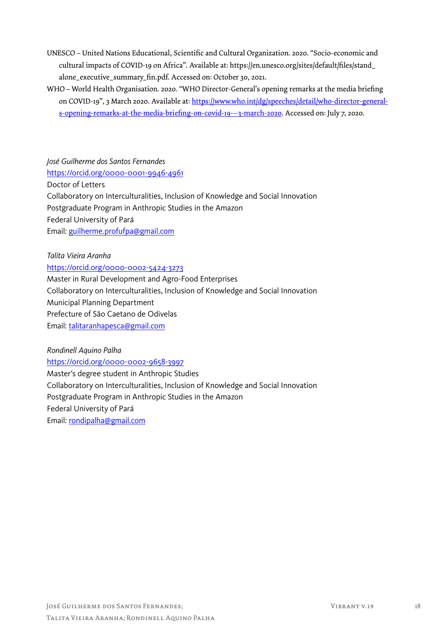- UNESCO United Nations Educational, Scientific and Cultural Organization. 2020. "Socio-economic and cultural impacts of COVID-19 on Africa". Available at: https://en.unesco.org/sites/default/files/stand\_ alone\_executive\_summary\_fin.pdf. Accessed on: October 30, 2021.
- WHO World Health Organisation. 2020. "WHO Director-General's opening remarks at the media briefing on COVID-19", 3 March 2020. Available at: https://www.who.int/dg/speeches/detail/who-director-generals-opening-remarks-at-the-media-briefing-on-covid-19---3-march-2020. Accessed on: July 7, 2020.

*José Guilherme dos Santos Fernandes* https://orcid.org/0000-0001-9946-4961 Doctor of Letters Collaboratory on Interculturalities, Inclusion of Knowledge and Social Innovation Postgraduate Program in Anthropic Studies in the Amazon Federal University of Pará Email: guilherme.profufpa@gmail.com

*Talita Vieira Aranha*

https://orcid.org/0000-0002-5424-3273

Master in Rural Development and Agro-Food Enterprises Collaboratory on Interculturalities, Inclusion of Knowledge and Social Innovation Municipal Planning Department

Prefecture of São Caetano de Odivelas

Email: talitaranhapesca@gmail.com

*Rondinell Aquino Palha* https://orcid.org/0000-0002-9658-3997 Master's degree student in Anthropic Studies Collaboratory on Interculturalities, Inclusion of Knowledge and Social Innovation Postgraduate Program in Anthropic Studies in the Amazon Federal University of Pará Email: rondipalha@gmail.com